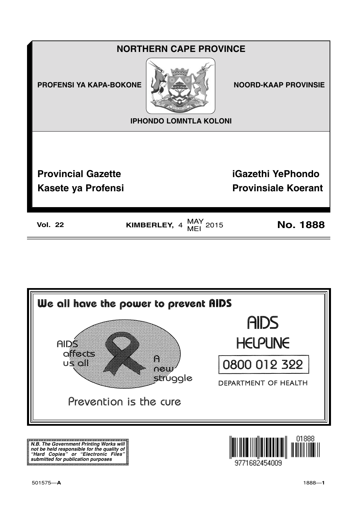



**N.B. The Government Printing Works will not be held responsible for the quality of "Hard Copies" or "Electronic Files" submitted for publication purposes**

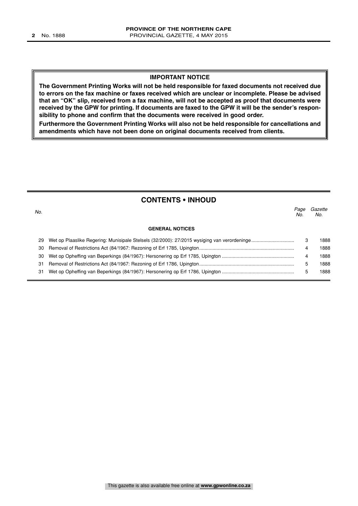#### **IMPORTANT NOTICE**

**The Government Printing Works will not be held responsible for faxed documents not received due to errors on the fax machine or faxes received which are unclear or incomplete. Please be advised that an "OK" slip, received from a fax machine, will not be accepted as proof that documents were received by the GPW for printing. If documents are faxed to the GPW it will be the sender's responsibility to phone and confirm that the documents were received in good order.**

**Furthermore the Government Printing Works will also not be held responsible for cancellations and amendments which have not been done on original documents received from clients.**

#### **CONTENTS • INHOUD**

|                        | Page<br>No. | Gazette<br>No. |
|------------------------|-------------|----------------|
| <b>GENERAL NOTICES</b> |             |                |
|                        | 3           | 1888           |
|                        | 4           | 1888           |
|                        | 4           | 1888           |
|                        | 5           | 1888           |
|                        | 5           | 1888           |
|                        |             |                |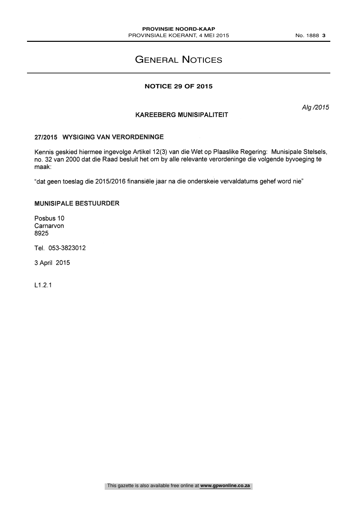### GENERAL NOTICES

#### **NOTICE 29 OF 2015**

Alg /2015

#### KAREEBERG MUNISIPALITEIT

#### 27/2015 WYSIGING VAN VERORDENINGE

Kennis geskied hiermee ingevolge Artikel 12(3) van die Wet op Plaaslike Regering: Munisipale Stelsels, no. 32 van 2000 dat die Raad besluit het om by alle relevante verordeninge die volgende byvoeging te maak:

"dat geen toeslag die 2015/2016 finansiele jaar na die onderskeie vervaldatums gehef word nie"

#### MUNISIPALE BESTUURDER

Posbus 10 **Carnarvon** 8925

Tel. 053-3823012

3 April 2015

L1.2.1

This gazette is also available free online at **www.gpwonline.co.za**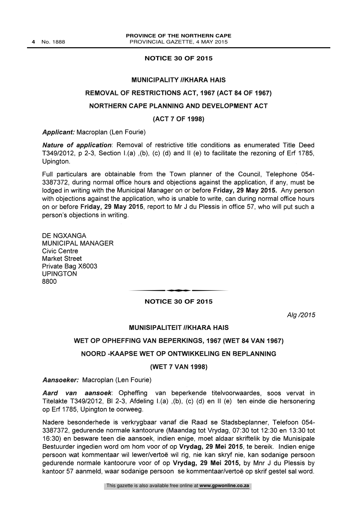#### **NOTICE 30 OF 2015**

#### MUNICIPALITY //KHARA HAIS

#### REMOVAL OF RESTRICTIONS ACT, 1967 (ACT 84 OF 1967)

#### NORTHERN CAPE PLANNING AND DEVELOPMENT ACT

#### (ACT 7 OF 1998)

Applicant: Macroplan (Len Fourie)

**Nature of application:** Removal of restrictive title conditions as enumerated Title Deed T349/2012, p 2-3, Section I.(a) ,(b), (c) (d) and 11 (e) to facilitate the rezoning of Erf 1785, Upington.

Full particulars are obtainable from the Town planner of the Council, Telephone 054- 3387372, during normal office hours and objections against the application, if any, must be lodged in writing with the Municipal Manager on or before Friday, 29 May 2015. Any person with objections against the application, who is unable to write, can during normal office hours on or before Friday, 29 May 2015, report to Mr J du Plessis in office 57, who will put such a person's objections in writing.

DE NGXANGA MUNICIPAL MANAGER Civic Centre Market Street Private Bag X6003 UPINGTON 8800

#### t**NOTICE 30 OF 2015**

Alg /2015

#### MUNISIPALITEIT //KHARA HAIS

#### WET OP OPHEFFING VAN BEPERKINGS, 1967 (WET 84 VAN 1967)

#### NOORD -KAAPSE WET OP ONTWIKKELING EN BEPLANNING

#### (WET 7 VAN 1998)

Aansoeker: Macroplan (Len Fourie)

Aard van aansoek: Opheffing van beperkende titelvoorwaardes, soos vervat in Titelakte T349/2012, BI 2-3, Afdeling I.(a) ,(b), (c) (d) en II (e) ten einde die hersonering op Erf 1785, Upington te oorweeg.

Nadere besonderhede is verkrygbaar vanaf die Raad se Stadsbeplanner, Telefoon 054- 3387372, gedurende normale kantoorure (Maandag tot Vrydag, 07:30 tot 12:30 en 13:30 tot 16:30) en besware teen die aansoek, indien enige, moet aldaar skriftelik by die Munisipale Bestuurder ingedien word om hom voor of op Vrydag, 29 Mei 2015, te bereik. Indien enige persoon wat kommentaar wil lewer/vertoë wil rig, nie kan skryf nie, kan sodanige persoon gedurende normale kantoorure voor of op Vrydag, 29 Mei 2015, by Mnr J du Plessis by kantoor 57 aanmeld, waar sodanige persoon se kommentaar/vertoe op skrif gestel sal word.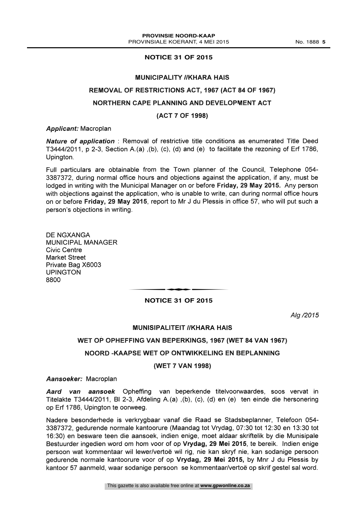#### **NOTICE 31 OF 2015**

#### **MUNICIPALITY //KHARA HAIS**

#### REMOVAL OF RESTRICTIONS ACT, 1967 (ACT 84 OF 1967)

#### NORTHERN CAPE PLANNING AND DEVELOPMENT ACT

#### (ACT 7 OF 1998)

#### Applicant: Macroplan

Nature of application : Removal of restrictive title conditions as enumerated Title Deed T3444/2011 p 2-3, Section A.(a) ,(b), (c), (d) and (e) to facilitate the rezoning of Erf 1786, Upington.

Full particulars are obtainable from the Town planner of the Council, Telephone 054- 3387372, during normal office hours and objections against the application, if any, must be lodged in writing with the Municipal Manager on or before Friday, 29 May 2015. Any person with objections against the application, who is unable to write, can during normal office hours on or before Friday, 29 May 2015, report to Mr J du Plessis in office 57, who will put such a person's objections in writing.

DE NGXANGA MUNICIPAL MANAGER Civic Centre Market Street Private Bag X6003 UPINGTON 8800

# **NOTICE 31 OF 2015**

Alg /2015

#### MUNISIPALITEIT //KHARA HAIS

#### WET OP OPHEFFING VAN BEPERKINGS, 1967 (WET 84 VAN 1967)

#### NOORD -KAAPSE WET OP ONTWIKKELING EN BEPLANNING

#### (WET 7 VAN 1998)

#### Aansoeker: Macroplan

Aard van aansoek Opheffing van beperkende titelvoorwaardes, soos vervat in Titelakte T3444/2011, BI 2-3, Afdeling A.(a) ,(b), (c), (d) en (e) ten einde die hersonering op Erf 1786, Upington te oorweeg.

Nadere besonderhede is verkrygbaar vanaf die Raad se Stadsbeplanner, Telefoon 054- 3387372, gedurende normale kantoorure (Maandag tot Vrydag, 07:30 tot 12:30 en 13:30 tot 16:30) en besware teen die aansoek, indien enige, moet aldaar skriftelik by die Munisipale Bestuurder ingedien word om hom voor of op Vrydag, 29 Mei 2015, te bereik. Indien enige persoon wat kommentaar wil lewer/vertoe wil rig, nie kan skryf nie, kan sodanige persoon gedurende normale kantoorure voor of op Vrydag, 29 Mei 2015, by Mnr J du Plessis by kantoor 57 aanmeld, waar sodanige persoon se kommentaar/vertoë op skrif gestel sal word.